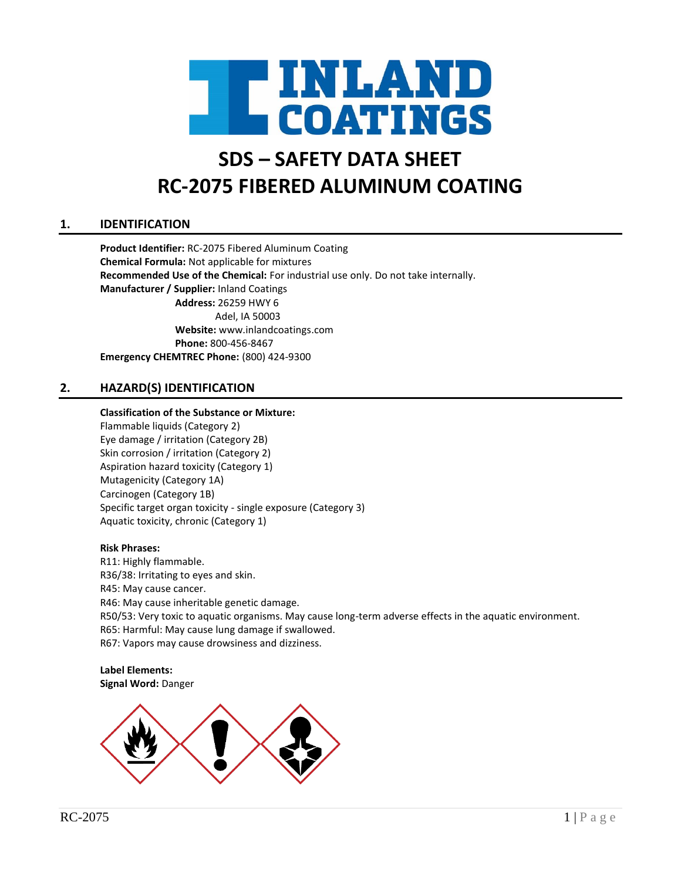

# **SDS – SAFETY DATA SHEET RC-2075 FIBERED ALUMINUM COATING**

# **1. IDENTIFICATION**

**Product Identifier:** RC-2075 Fibered Aluminum Coating **Chemical Formula:** Not applicable for mixtures **Recommended Use of the Chemical:** For industrial use only. Do not take internally. **Manufacturer / Supplier:** Inland Coatings **Address:** 26259 HWY 6 Adel, IA 50003 **Website:** www.inlandcoatings.com **Phone:** 800-456-8467 **Emergency CHEMTREC Phone:** (800) 424-9300

# **2. HAZARD(S) IDENTIFICATION**

#### **Classification of the Substance or Mixture:**

Flammable liquids (Category 2) Eye damage / irritation (Category 2B) Skin corrosion / irritation (Category 2) Aspiration hazard toxicity (Category 1) Mutagenicity (Category 1A) Carcinogen (Category 1B) Specific target organ toxicity - single exposure (Category 3) Aquatic toxicity, chronic (Category 1)

#### **Risk Phrases:**

R11: Highly flammable. R36/38: Irritating to eyes and skin. R45: May cause cancer. R46: May cause inheritable genetic damage. R50/53: Very toxic to aquatic organisms. May cause long-term adverse effects in the aquatic environment. R65: Harmful: May cause lung damage if swallowed. R67: Vapors may cause drowsiness and dizziness.

**Label Elements: Signal Word:** Danger

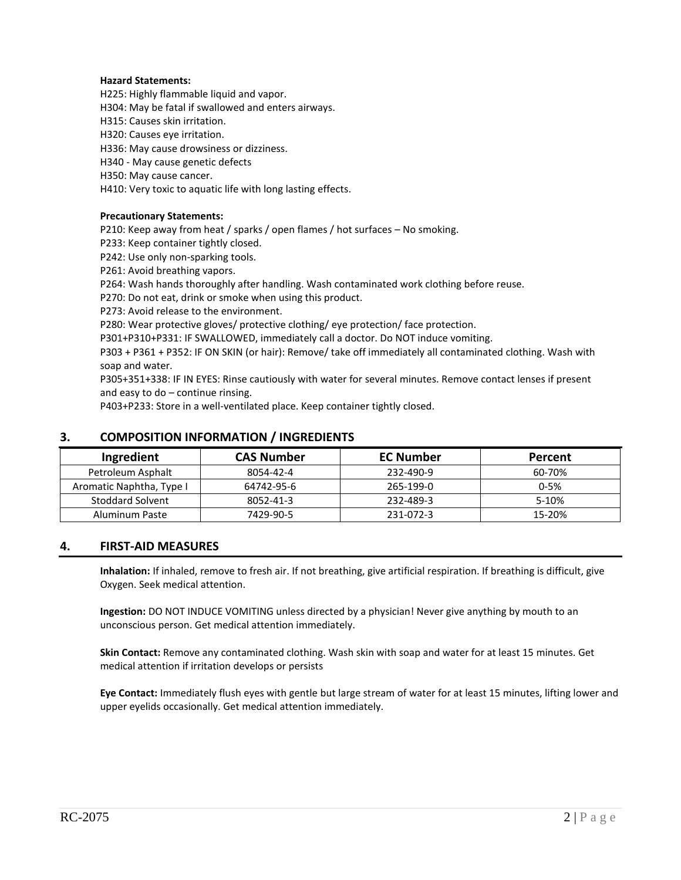#### **Hazard Statements:**

H225: Highly flammable liquid and vapor.

H304: May be fatal if swallowed and enters airways.

H315: Causes skin irritation.

H320: Causes eye irritation.

H336: May cause drowsiness or dizziness.

H340 - May cause genetic defects

H350: May cause cancer.

H410: Very toxic to aquatic life with long lasting effects.

#### **Precautionary Statements:**

P210: Keep away from heat / sparks / open flames / hot surfaces – No smoking.

P233: Keep container tightly closed.

P242: Use only non-sparking tools.

P261: Avoid breathing vapors.

P264: Wash hands thoroughly after handling. Wash contaminated work clothing before reuse.

P270: Do not eat, drink or smoke when using this product.

P273: Avoid release to the environment.

P280: Wear protective gloves/ protective clothing/ eye protection/ face protection.

P301+P310+P331: IF SWALLOWED, immediately call a doctor. Do NOT induce vomiting.

P303 + P361 + P352: IF ON SKIN (or hair): Remove/ take off immediately all contaminated clothing. Wash with soap and water.

P305+351+338: IF IN EYES: Rinse cautiously with water for several minutes. Remove contact lenses if present and easy to do – continue rinsing.

P403+P233: Store in a well-ventilated place. Keep container tightly closed.

| Ingredient               | <b>CAS Number</b> | <b>EC Number</b> | Percent  |
|--------------------------|-------------------|------------------|----------|
| Petroleum Asphalt        | 8054-42-4         | 232-490-9        | 60-70%   |
| Aromatic Naphtha, Type I | 64742-95-6        | 265-199-0        | $0 - 5%$ |
| <b>Stoddard Solvent</b>  | 8052-41-3         | 232-489-3        | 5-10%    |
| Aluminum Paste           | 7429-90-5         | 231-072-3        | 15-20%   |

#### **3. COMPOSITION INFORMATION / INGREDIENTS**

#### **4. FIRST-AID MEASURES**

**Inhalation:** If inhaled, remove to fresh air. If not breathing, give artificial respiration. If breathing is difficult, give Oxygen. Seek medical attention.

**Ingestion:** DO NOT INDUCE VOMITING unless directed by a physician! Never give anything by mouth to an unconscious person. Get medical attention immediately.

**Skin Contact:** Remove any contaminated clothing. Wash skin with soap and water for at least 15 minutes. Get medical attention if irritation develops or persists

**Eye Contact:** Immediately flush eyes with gentle but large stream of water for at least 15 minutes, lifting lower and upper eyelids occasionally. Get medical attention immediately.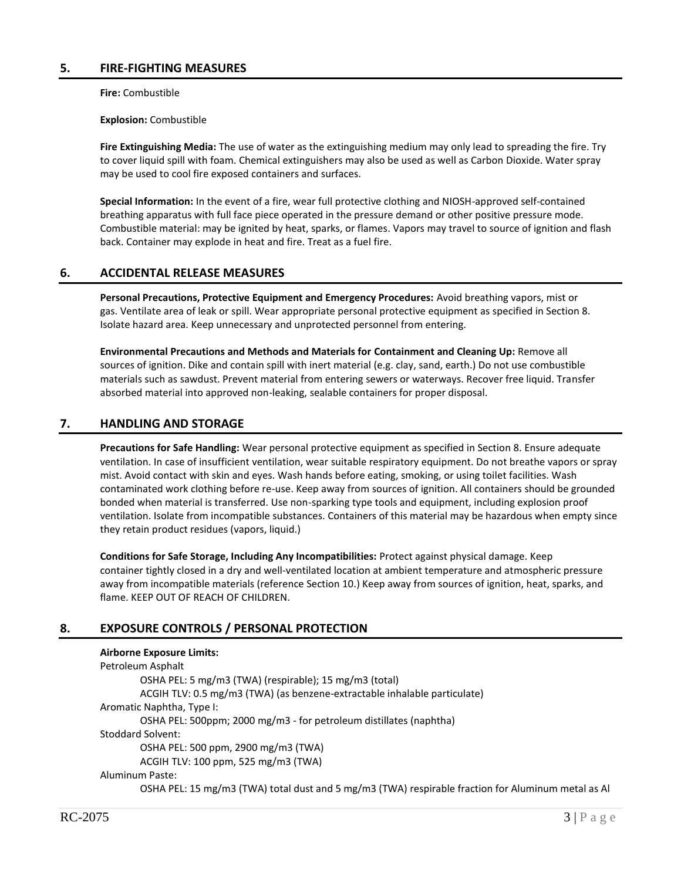**Fire:** Combustible

**Explosion:** Combustible

**Fire Extinguishing Media:** The use of water as the extinguishing medium may only lead to spreading the fire. Try to cover liquid spill with foam. Chemical extinguishers may also be used as well as Carbon Dioxide. Water spray may be used to cool fire exposed containers and surfaces.

**Special Information:** In the event of a fire, wear full protective clothing and NIOSH-approved self-contained breathing apparatus with full face piece operated in the pressure demand or other positive pressure mode. Combustible material: may be ignited by heat, sparks, or flames. Vapors may travel to source of ignition and flash back. Container may explode in heat and fire. Treat as a fuel fire.

# **6. ACCIDENTAL RELEASE MEASURES**

**Personal Precautions, Protective Equipment and Emergency Procedures:** Avoid breathing vapors, mist or gas. Ventilate area of leak or spill. Wear appropriate personal protective equipment as specified in Section 8. Isolate hazard area. Keep unnecessary and unprotected personnel from entering.

**Environmental Precautions and Methods and Materials for Containment and Cleaning Up:** Remove all sources of ignition. Dike and contain spill with inert material (e.g. clay, sand, earth.) Do not use combustible materials such as sawdust. Prevent material from entering sewers or waterways. Recover free liquid. Transfer absorbed material into approved non-leaking, sealable containers for proper disposal.

# **7. HANDLING AND STORAGE**

**Precautions for Safe Handling:** Wear personal protective equipment as specified in Section 8. Ensure adequate ventilation. In case of insufficient ventilation, wear suitable respiratory equipment. Do not breathe vapors or spray mist. Avoid contact with skin and eyes. Wash hands before eating, smoking, or using toilet facilities. Wash contaminated work clothing before re-use. Keep away from sources of ignition. All containers should be grounded bonded when material is transferred. Use non-sparking type tools and equipment, including explosion proof ventilation. Isolate from incompatible substances. Containers of this material may be hazardous when empty since they retain product residues (vapors, liquid.)

**Conditions for Safe Storage, Including Any Incompatibilities:** Protect against physical damage. Keep container tightly closed in a dry and well-ventilated location at ambient temperature and atmospheric pressure away from incompatible materials (reference Section 10.) Keep away from sources of ignition, heat, sparks, and flame. KEEP OUT OF REACH OF CHILDREN.

# **8. EXPOSURE CONTROLS / PERSONAL PROTECTION**

#### **Airborne Exposure Limits:** Petroleum Asphalt OSHA PEL: 5 mg/m3 (TWA) (respirable); 15 mg/m3 (total) ACGIH TLV: 0.5 mg/m3 (TWA) (as benzene-extractable inhalable particulate) Aromatic Naphtha, Type I: OSHA PEL: 500ppm; 2000 mg/m3 - for petroleum distillates (naphtha) Stoddard Solvent: OSHA PEL: 500 ppm, 2900 mg/m3 (TWA) ACGIH TLV: 100 ppm, 525 mg/m3 (TWA) Aluminum Paste: OSHA PEL: 15 mg/m3 (TWA) total dust and 5 mg/m3 (TWA) respirable fraction for Aluminum metal as Al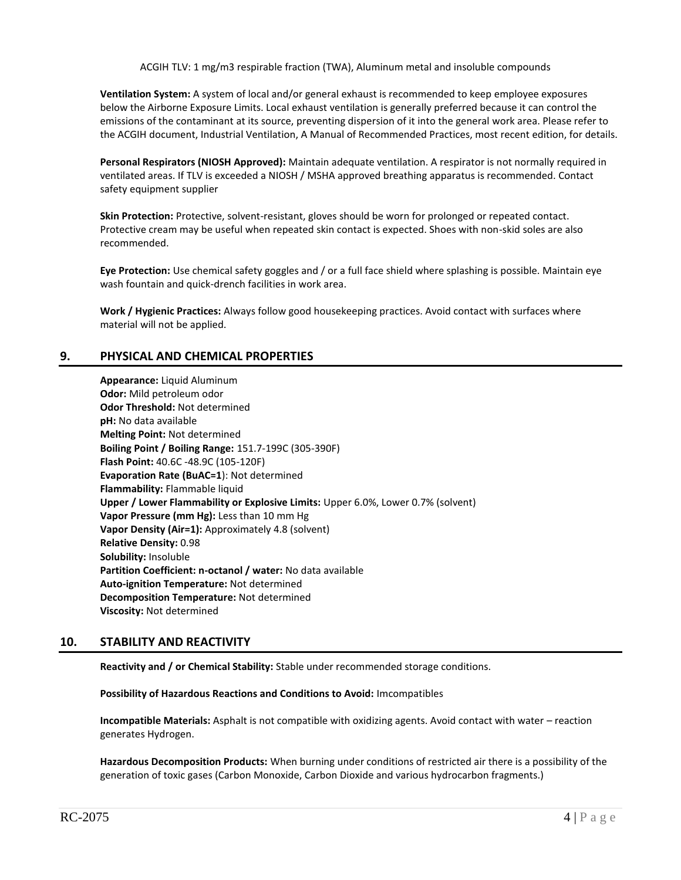ACGIH TLV: 1 mg/m3 respirable fraction (TWA), Aluminum metal and insoluble compounds

**Ventilation System:** A system of local and/or general exhaust is recommended to keep employee exposures below the Airborne Exposure Limits. Local exhaust ventilation is generally preferred because it can control the emissions of the contaminant at its source, preventing dispersion of it into the general work area. Please refer to the ACGIH document, Industrial Ventilation, A Manual of Recommended Practices, most recent edition, for details.

**Personal Respirators (NIOSH Approved):** Maintain adequate ventilation. A respirator is not normally required in ventilated areas. If TLV is exceeded a NIOSH / MSHA approved breathing apparatus is recommended. Contact safety equipment supplier

**Skin Protection:** Protective, solvent-resistant, gloves should be worn for prolonged or repeated contact. Protective cream may be useful when repeated skin contact is expected. Shoes with non-skid soles are also recommended.

**Eye Protection:** Use chemical safety goggles and / or a full face shield where splashing is possible. Maintain eye wash fountain and quick-drench facilities in work area.

**Work / Hygienic Practices:** Always follow good housekeeping practices. Avoid contact with surfaces where material will not be applied.

### **9. PHYSICAL AND CHEMICAL PROPERTIES**

**Appearance:** Liquid Aluminum **Odor:** Mild petroleum odor **Odor Threshold:** Not determined **pH:** No data available **Melting Point:** Not determined **Boiling Point / Boiling Range:** 151.7-199C (305-390F) **Flash Point:** 40.6C -48.9C (105-120F) **Evaporation Rate (BuAC=1**): Not determined **Flammability:** Flammable liquid **Upper / Lower Flammability or Explosive Limits:** Upper 6.0%, Lower 0.7% (solvent) **Vapor Pressure (mm Hg):** Less than 10 mm Hg **Vapor Density (Air=1):** Approximately 4.8 (solvent) **Relative Density:** 0.98 **Solubility:** Insoluble **Partition Coefficient: n-octanol / water:** No data available **Auto-ignition Temperature:** Not determined **Decomposition Temperature:** Not determined **Viscosity:** Not determined

# **10. STABILITY AND REACTIVITY**

**Reactivity and / or Chemical Stability:** Stable under recommended storage conditions.

**Possibility of Hazardous Reactions and Conditions to Avoid:** Imcompatibles

**Incompatible Materials:** Asphalt is not compatible with oxidizing agents. Avoid contact with water – reaction generates Hydrogen.

**Hazardous Decomposition Products:** When burning under conditions of restricted air there is a possibility of the generation of toxic gases (Carbon Monoxide, Carbon Dioxide and various hydrocarbon fragments.)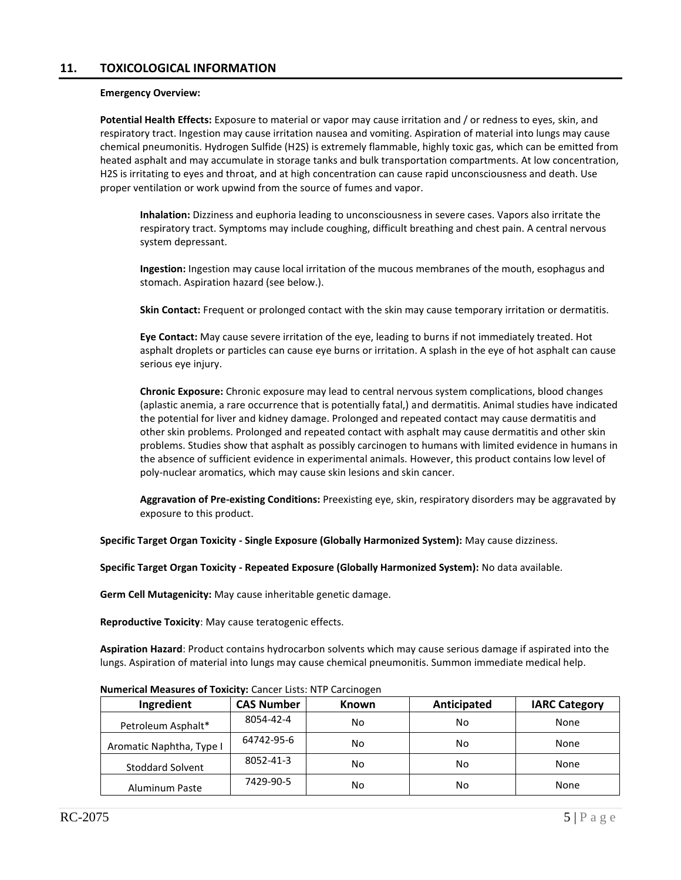#### **Emergency Overview:**

**Potential Health Effects:** Exposure to material or vapor may cause irritation and / or redness to eyes, skin, and respiratory tract. Ingestion may cause irritation nausea and vomiting. Aspiration of material into lungs may cause chemical pneumonitis. Hydrogen Sulfide (H2S) is extremely flammable, highly toxic gas, which can be emitted from heated asphalt and may accumulate in storage tanks and bulk transportation compartments. At low concentration, H2S is irritating to eyes and throat, and at high concentration can cause rapid unconsciousness and death. Use proper ventilation or work upwind from the source of fumes and vapor.

**Inhalation:** Dizziness and euphoria leading to unconsciousness in severe cases. Vapors also irritate the respiratory tract. Symptoms may include coughing, difficult breathing and chest pain. A central nervous system depressant.

**Ingestion:** Ingestion may cause local irritation of the mucous membranes of the mouth, esophagus and stomach. Aspiration hazard (see below.).

**Skin Contact:** Frequent or prolonged contact with the skin may cause temporary irritation or dermatitis.

**Eye Contact:** May cause severe irritation of the eye, leading to burns if not immediately treated. Hot asphalt droplets or particles can cause eye burns or irritation. A splash in the eye of hot asphalt can cause serious eye injury.

**Chronic Exposure:** Chronic exposure may lead to central nervous system complications, blood changes (aplastic anemia, a rare occurrence that is potentially fatal,) and dermatitis. Animal studies have indicated the potential for liver and kidney damage. Prolonged and repeated contact may cause dermatitis and other skin problems. Prolonged and repeated contact with asphalt may cause dermatitis and other skin problems. Studies show that asphalt as possibly carcinogen to humans with limited evidence in humans in the absence of sufficient evidence in experimental animals. However, this product contains low level of poly-nuclear aromatics, which may cause skin lesions and skin cancer.

**Aggravation of Pre-existing Conditions:** Preexisting eye, skin, respiratory disorders may be aggravated by exposure to this product.

**Specific Target Organ Toxicity - Single Exposure (Globally Harmonized System):** May cause dizziness.

**Specific Target Organ Toxicity - Repeated Exposure (Globally Harmonized System):** No data available.

**Germ Cell Mutagenicity:** May cause inheritable genetic damage.

**Reproductive Toxicity**: May cause teratogenic effects.

**Aspiration Hazard**: Product contains hydrocarbon solvents which may cause serious damage if aspirated into the lungs. Aspiration of material into lungs may cause chemical pneumonitis. Summon immediate medical help.

| <b>NUMBER OF BUILDING OF BUILDING CONTROL CONSTRUCT CONSTRUCT</b> |                   |              |             |                      |  |  |
|-------------------------------------------------------------------|-------------------|--------------|-------------|----------------------|--|--|
| Ingredient                                                        | <b>CAS Number</b> | <b>Known</b> | Anticipated | <b>IARC Category</b> |  |  |
| Petroleum Asphalt*                                                | 8054-42-4         | No           | No          | None                 |  |  |
| Aromatic Naphtha, Type I                                          | 64742-95-6        | No           | No          | None                 |  |  |
| <b>Stoddard Solvent</b>                                           | 8052-41-3         | No           | No          | None                 |  |  |
| Aluminum Paste                                                    | 7429-90-5         | No           | No          | None                 |  |  |

**Numerical Measures of Toxicity:** Cancer Lists: NTP Carcinogen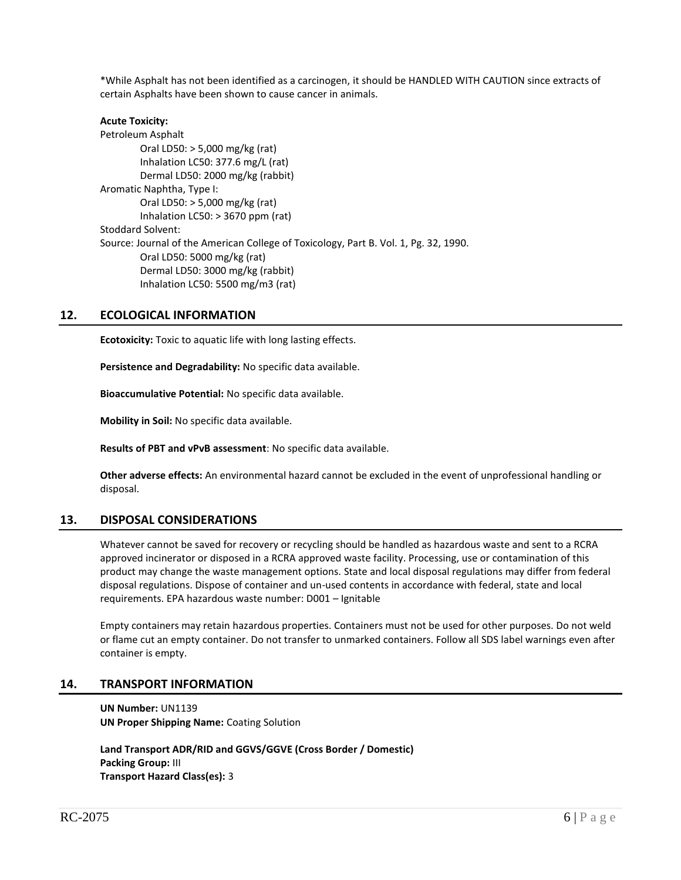\*While Asphalt has not been identified as a carcinogen, it should be HANDLED WITH CAUTION since extracts of certain Asphalts have been shown to cause cancer in animals.

### **Acute Toxicity:** Petroleum Asphalt Oral LD50: > 5,000 mg/kg (rat) Inhalation LC50: 377.6 mg/L (rat) Dermal LD50: 2000 mg/kg (rabbit) Aromatic Naphtha, Type I: Oral LD50: > 5,000 mg/kg (rat) Inhalation LC50: > 3670 ppm (rat) Stoddard Solvent: Source: Journal of the American College of Toxicology, Part B. Vol. 1, Pg. 32, 1990. Oral LD50: 5000 mg/kg (rat) Dermal LD50: 3000 mg/kg (rabbit) Inhalation LC50: 5500 mg/m3 (rat)

# **12. ECOLOGICAL INFORMATION**

**Ecotoxicity:** Toxic to aquatic life with long lasting effects.

**Persistence and Degradability:** No specific data available.

**Bioaccumulative Potential:** No specific data available.

**Mobility in Soil:** No specific data available.

**Results of PBT and vPvB assessment**: No specific data available.

**Other adverse effects:** An environmental hazard cannot be excluded in the event of unprofessional handling or disposal.

# **13. DISPOSAL CONSIDERATIONS**

Whatever cannot be saved for recovery or recycling should be handled as hazardous waste and sent to a RCRA approved incinerator or disposed in a RCRA approved waste facility. Processing, use or contamination of this product may change the waste management options. State and local disposal regulations may differ from federal disposal regulations. Dispose of container and un-used contents in accordance with federal, state and local requirements. EPA hazardous waste number: D001 – Ignitable

Empty containers may retain hazardous properties. Containers must not be used for other purposes. Do not weld or flame cut an empty container. Do not transfer to unmarked containers. Follow all SDS label warnings even after container is empty.

# **14. TRANSPORT INFORMATION**

**UN Number:** UN1139 **UN Proper Shipping Name:** Coating Solution

**Land Transport ADR/RID and GGVS/GGVE (Cross Border / Domestic) Packing Group:** III **Transport Hazard Class(es):** 3